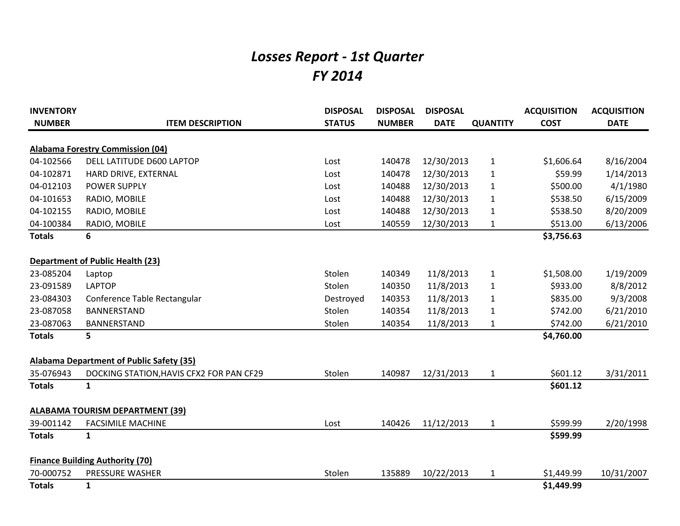## *Losses Report - 1st Quarter FY 2014*

| <b>INVENTORY</b> |                                                 | <b>DISPOSAL</b> | <b>DISPOSAL</b> | <b>DISPOSAL</b> |                 | <b>ACQUISITION</b> | <b>ACQUISITION</b> |
|------------------|-------------------------------------------------|-----------------|-----------------|-----------------|-----------------|--------------------|--------------------|
| <b>NUMBER</b>    | <b>ITEM DESCRIPTION</b>                         | <b>STATUS</b>   | <b>NUMBER</b>   | <b>DATE</b>     | <b>QUANTITY</b> | <b>COST</b>        | <b>DATE</b>        |
|                  | <b>Alabama Forestry Commission (04)</b>         |                 |                 |                 |                 |                    |                    |
| 04-102566        | DELL LATITUDE D600 LAPTOP                       | Lost            | 140478          | 12/30/2013      | $\mathbf{1}$    | \$1,606.64         | 8/16/2004          |
| 04-102871        | HARD DRIVE, EXTERNAL                            | Lost            | 140478          | 12/30/2013      | $\mathbf{1}$    | \$59.99            | 1/14/2013          |
| 04-012103        | <b>POWER SUPPLY</b>                             | Lost            | 140488          | 12/30/2013      | $\mathbf{1}$    | \$500.00           | 4/1/1980           |
| 04-101653        | RADIO, MOBILE                                   | Lost            | 140488          | 12/30/2013      | $\mathbf{1}$    | \$538.50           | 6/15/2009          |
| 04-102155        | RADIO, MOBILE                                   | Lost            | 140488          | 12/30/2013      | $\mathbf{1}$    | \$538.50           | 8/20/2009          |
| 04-100384        | RADIO, MOBILE                                   | Lost            | 140559          | 12/30/2013      | $\mathbf{1}$    | \$513.00           | 6/13/2006          |
| <b>Totals</b>    | 6                                               |                 |                 |                 |                 | \$3,756.63         |                    |
|                  | <b>Department of Public Health (23)</b>         |                 |                 |                 |                 |                    |                    |
| 23-085204        | Laptop                                          | Stolen          | 140349          | 11/8/2013       | $\mathbf{1}$    | \$1,508.00         | 1/19/2009          |
| 23-091589        | <b>LAPTOP</b>                                   | Stolen          | 140350          | 11/8/2013       | $\mathbf{1}$    | \$933.00           | 8/8/2012           |
| 23-084303        | Conference Table Rectangular                    | Destroyed       | 140353          | 11/8/2013       | $\mathbf{1}$    | \$835.00           | 9/3/2008           |
| 23-087058        | <b>BANNERSTAND</b>                              | Stolen          | 140354          | 11/8/2013       | $\mathbf{1}$    | \$742.00           | 6/21/2010          |
| 23-087063        | <b>BANNERSTAND</b>                              | Stolen          | 140354          | 11/8/2013       | $\mathbf{1}$    | \$742.00           | 6/21/2010          |
| <b>Totals</b>    | 5                                               |                 |                 |                 |                 | \$4,760.00         |                    |
|                  | <b>Alabama Department of Public Safety (35)</b> |                 |                 |                 |                 |                    |                    |
| 35-076943        | DOCKING STATION, HAVIS CFX2 FOR PAN CF29        | Stolen          | 140987          | 12/31/2013      | $\mathbf{1}$    | \$601.12           | 3/31/2011          |
| <b>Totals</b>    | $\mathbf{1}$                                    |                 |                 |                 |                 | \$601.12           |                    |
|                  | <b>ALABAMA TOURISM DEPARTMENT (39)</b>          |                 |                 |                 |                 |                    |                    |
| 39-001142        | <b>FACSIMILE MACHINE</b>                        | Lost            | 140426          | 11/12/2013      | $\mathbf{1}$    | \$599.99           | 2/20/1998          |
| <b>Totals</b>    | $\mathbf{1}$                                    |                 |                 |                 |                 | \$599.99           |                    |
|                  | <b>Finance Building Authority (70)</b>          |                 |                 |                 |                 |                    |                    |
| 70-000752        | PRESSURE WASHER                                 | Stolen          | 135889          | 10/22/2013      | $\mathbf{1}$    | \$1,449.99         | 10/31/2007         |
| <b>Totals</b>    | $\mathbf{1}$                                    |                 |                 |                 |                 | \$1,449.99         |                    |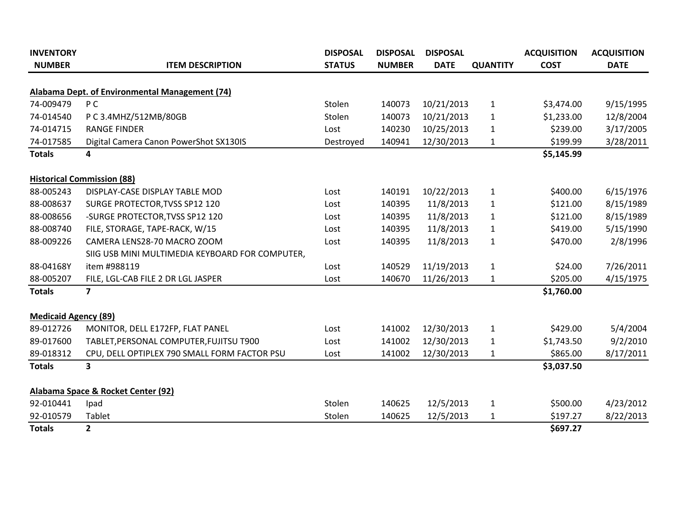| <b>INVENTORY</b>            |                                                 | <b>DISPOSAL</b> | <b>DISPOSAL</b> | <b>DISPOSAL</b> |                 | <b>ACQUISITION</b> | <b>ACQUISITION</b> |
|-----------------------------|-------------------------------------------------|-----------------|-----------------|-----------------|-----------------|--------------------|--------------------|
| <b>NUMBER</b>               | <b>ITEM DESCRIPTION</b>                         | <b>STATUS</b>   | <b>NUMBER</b>   | <b>DATE</b>     | <b>QUANTITY</b> | <b>COST</b>        | <b>DATE</b>        |
|                             | Alabama Dept. of Environmental Management (74)  |                 |                 |                 |                 |                    |                    |
| 74-009479                   | P C                                             | Stolen          | 140073          | 10/21/2013      | $\mathbf{1}$    | \$3,474.00         | 9/15/1995          |
| 74-014540                   | P C 3.4MHZ/512MB/80GB                           | Stolen          | 140073          | 10/21/2013      | 1               | \$1,233.00         | 12/8/2004          |
| 74-014715                   | <b>RANGE FINDER</b>                             | Lost            | 140230          | 10/25/2013      | 1               | \$239.00           | 3/17/2005          |
| 74-017585                   | Digital Camera Canon PowerShot SX130IS          | Destroyed       | 140941          | 12/30/2013      | $\mathbf{1}$    | \$199.99           | 3/28/2011          |
| <b>Totals</b>               | 4                                               |                 |                 |                 |                 | \$5,145.99         |                    |
|                             | <b>Historical Commission (88)</b>               |                 |                 |                 |                 |                    |                    |
| 88-005243                   | DISPLAY-CASE DISPLAY TABLE MOD                  | Lost            | 140191          | 10/22/2013      | $\mathbf{1}$    | \$400.00           | 6/15/1976          |
| 88-008637                   | SURGE PROTECTOR, TVSS SP12 120                  | Lost            | 140395          | 11/8/2013       | 1               | \$121.00           | 8/15/1989          |
| 88-008656                   | -SURGE PROTECTOR, TVSS SP12 120                 | Lost            | 140395          | 11/8/2013       | 1               | \$121.00           | 8/15/1989          |
| 88-008740                   | FILE, STORAGE, TAPE-RACK, W/15                  | Lost            | 140395          | 11/8/2013       | $\mathbf{1}$    | \$419.00           | 5/15/1990          |
| 88-009226                   | CAMERA LENS28-70 MACRO ZOOM                     | Lost            | 140395          | 11/8/2013       | $\mathbf{1}$    | \$470.00           | 2/8/1996           |
|                             | SIIG USB MINI MULTIMEDIA KEYBOARD FOR COMPUTER, |                 |                 |                 |                 |                    |                    |
| 88-04168Y                   | item #988119                                    | Lost            | 140529          | 11/19/2013      | $\mathbf{1}$    | \$24.00            | 7/26/2011          |
| 88-005207                   | FILE, LGL-CAB FILE 2 DR LGL JASPER              | Lost            | 140670          | 11/26/2013      | $\mathbf{1}$    | \$205.00           | 4/15/1975          |
| <b>Totals</b>               | 7                                               |                 |                 |                 |                 | \$1,760.00         |                    |
| <b>Medicaid Agency (89)</b> |                                                 |                 |                 |                 |                 |                    |                    |
| 89-012726                   | MONITOR, DELL E172FP, FLAT PANEL                | Lost            | 141002          | 12/30/2013      | $\mathbf{1}$    | \$429.00           | 5/4/2004           |
| 89-017600                   | TABLET, PERSONAL COMPUTER, FUJITSU T900         | Lost            | 141002          | 12/30/2013      | $\mathbf{1}$    | \$1,743.50         | 9/2/2010           |
| 89-018312                   | CPU, DELL OPTIPLEX 790 SMALL FORM FACTOR PSU    | Lost            | 141002          | 12/30/2013      | $\mathbf{1}$    | \$865.00           | 8/17/2011          |
| <b>Totals</b>               | 3                                               |                 |                 |                 |                 | \$3,037.50         |                    |
|                             | Alabama Space & Rocket Center (92)              |                 |                 |                 |                 |                    |                    |
| 92-010441                   | Ipad                                            | Stolen          | 140625          | 12/5/2013       | $\mathbf{1}$    | \$500.00           | 4/23/2012          |
| 92-010579                   | Tablet                                          | Stolen          | 140625          | 12/5/2013       | 1               | \$197.27           | 8/22/2013          |
| <b>Totals</b>               | $\overline{2}$                                  |                 |                 |                 |                 | \$697.27           |                    |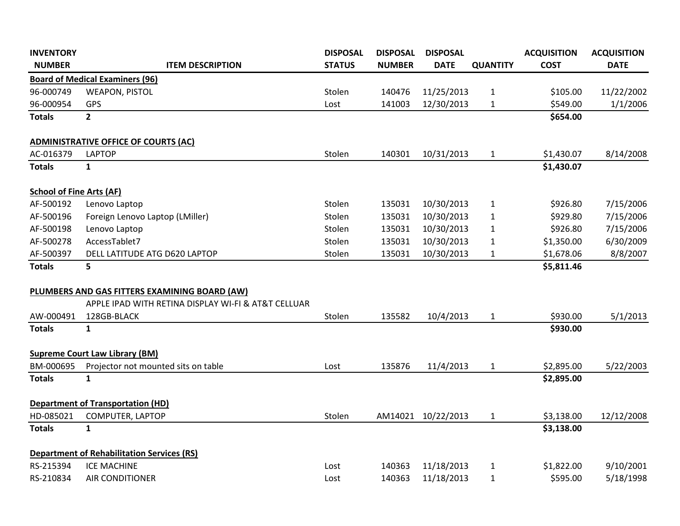| <b>INVENTORY</b>                |                                                     | <b>DISPOSAL</b> | <b>DISPOSAL</b> | <b>DISPOSAL</b>    |                 | <b>ACQUISITION</b> | <b>ACQUISITION</b> |
|---------------------------------|-----------------------------------------------------|-----------------|-----------------|--------------------|-----------------|--------------------|--------------------|
| <b>NUMBER</b>                   | <b>ITEM DESCRIPTION</b>                             | <b>STATUS</b>   | <b>NUMBER</b>   | <b>DATE</b>        | <b>QUANTITY</b> | <b>COST</b>        | <b>DATE</b>        |
|                                 | <b>Board of Medical Examiners (96)</b>              |                 |                 |                    |                 |                    |                    |
| 96-000749                       | <b>WEAPON, PISTOL</b>                               | Stolen          | 140476          | 11/25/2013         | 1               | \$105.00           | 11/22/2002         |
| 96-000954                       | <b>GPS</b>                                          | Lost            | 141003          | 12/30/2013         | $\mathbf{1}$    | \$549.00           | 1/1/2006           |
| <b>Totals</b>                   | $\overline{2}$                                      |                 |                 |                    |                 | \$654.00           |                    |
|                                 | <b>ADMINISTRATIVE OFFICE OF COURTS (AC)</b>         |                 |                 |                    |                 |                    |                    |
| AC-016379                       | <b>LAPTOP</b>                                       | Stolen          | 140301          | 10/31/2013         | $\mathbf{1}$    | \$1,430.07         | 8/14/2008          |
| <b>Totals</b>                   | $\mathbf{1}$                                        |                 |                 |                    |                 | \$1,430.07         |                    |
| <b>School of Fine Arts (AF)</b> |                                                     |                 |                 |                    |                 |                    |                    |
| AF-500192                       | Lenovo Laptop                                       | Stolen          | 135031          | 10/30/2013         | $\mathbf{1}$    | \$926.80           | 7/15/2006          |
| AF-500196                       | Foreign Lenovo Laptop (LMiller)                     | Stolen          | 135031          | 10/30/2013         | $\mathbf{1}$    | \$929.80           | 7/15/2006          |
| AF-500198                       | Lenovo Laptop                                       | Stolen          | 135031          | 10/30/2013         | $\mathbf{1}$    | \$926.80           | 7/15/2006          |
| AF-500278                       | AccessTablet7                                       | Stolen          | 135031          | 10/30/2013         | $\mathbf{1}$    | \$1,350.00         | 6/30/2009          |
| AF-500397                       | DELL LATITUDE ATG D620 LAPTOP                       | Stolen          | 135031          | 10/30/2013         | $\mathbf{1}$    | \$1,678.06         | 8/8/2007           |
| <b>Totals</b>                   | 5                                                   |                 |                 |                    |                 | \$5,811.46         |                    |
|                                 | PLUMBERS AND GAS FITTERS EXAMINING BOARD (AW)       |                 |                 |                    |                 |                    |                    |
|                                 | APPLE IPAD WITH RETINA DISPLAY WI-FI & AT&T CELLUAR |                 |                 |                    |                 |                    |                    |
| AW-000491                       | 128GB-BLACK                                         | Stolen          | 135582          | 10/4/2013          | $\mathbf{1}$    | \$930.00           | 5/1/2013           |
| <b>Totals</b>                   | $\mathbf{1}$                                        |                 |                 |                    |                 | \$930.00           |                    |
|                                 | <b>Supreme Court Law Library (BM)</b>               |                 |                 |                    |                 |                    |                    |
| BM-000695                       | Projector not mounted sits on table                 | Lost            | 135876          | 11/4/2013          | $\mathbf{1}$    | \$2,895.00         | 5/22/2003          |
| <b>Totals</b>                   | $\mathbf{1}$                                        |                 |                 |                    |                 | \$2,895.00         |                    |
|                                 | <b>Department of Transportation (HD)</b>            |                 |                 |                    |                 |                    |                    |
| HD-085021                       | COMPUTER, LAPTOP                                    | Stolen          |                 | AM14021 10/22/2013 | $\mathbf{1}$    | \$3,138.00         | 12/12/2008         |
| <b>Totals</b>                   | $\mathbf{1}$                                        |                 |                 |                    |                 | \$3,138.00         |                    |
|                                 | <b>Department of Rehabilitation Services (RS)</b>   |                 |                 |                    |                 |                    |                    |
| RS-215394                       | <b>ICE MACHINE</b>                                  | Lost            | 140363          | 11/18/2013         | 1               | \$1,822.00         | 9/10/2001          |
| RS-210834                       | <b>AIR CONDITIONER</b>                              | Lost            | 140363          | 11/18/2013         | $\mathbf{1}$    | \$595.00           | 5/18/1998          |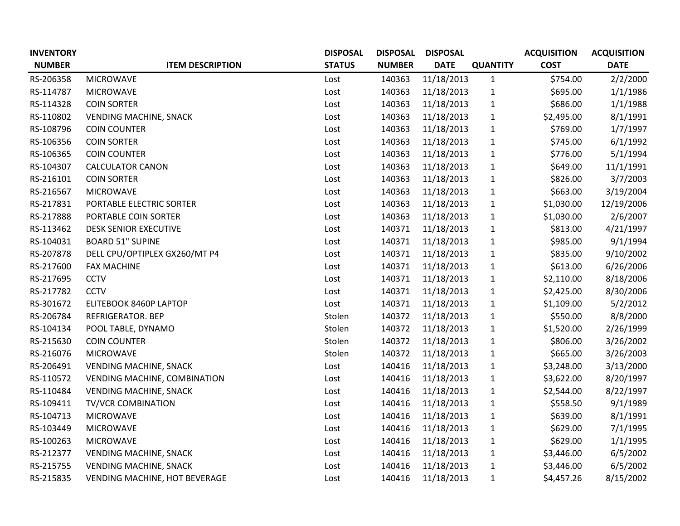| <b>INVENTORY</b> |                               | <b>DISPOSAL</b> | <b>DISPOSAL</b> | <b>DISPOSAL</b> |                 | <b>ACQUISITION</b> | <b>ACQUISITION</b> |
|------------------|-------------------------------|-----------------|-----------------|-----------------|-----------------|--------------------|--------------------|
| <b>NUMBER</b>    | <b>ITEM DESCRIPTION</b>       | <b>STATUS</b>   | <b>NUMBER</b>   | <b>DATE</b>     | <b>QUANTITY</b> | <b>COST</b>        | <b>DATE</b>        |
| RS-206358        | <b>MICROWAVE</b>              | Lost            | 140363          | 11/18/2013      | $\mathbf{1}$    | \$754.00           | 2/2/2000           |
| RS-114787        | <b>MICROWAVE</b>              | Lost            | 140363          | 11/18/2013      | $\mathbf{1}$    | \$695.00           | 1/1/1986           |
| RS-114328        | <b>COIN SORTER</b>            | Lost            | 140363          | 11/18/2013      | $\mathbf{1}$    | \$686.00           | 1/1/1988           |
| RS-110802        | <b>VENDING MACHINE, SNACK</b> | Lost            | 140363          | 11/18/2013      | $\mathbf 1$     | \$2,495.00         | 8/1/1991           |
| RS-108796        | <b>COIN COUNTER</b>           | Lost            | 140363          | 11/18/2013      | $\mathbf{1}$    | \$769.00           | 1/7/1997           |
| RS-106356        | <b>COIN SORTER</b>            | Lost            | 140363          | 11/18/2013      | $\mathbf{1}$    | \$745.00           | 6/1/1992           |
| RS-106365        | <b>COIN COUNTER</b>           | Lost            | 140363          | 11/18/2013      | $\mathbf{1}$    | \$776.00           | 5/1/1994           |
| RS-104307        | <b>CALCULATOR CANON</b>       | Lost            | 140363          | 11/18/2013      | $\mathbf{1}$    | \$649.00           | 11/1/1991          |
| RS-216101        | <b>COIN SORTER</b>            | Lost            | 140363          | 11/18/2013      | $\mathbf{1}$    | \$826.00           | 3/7/2003           |
| RS-216567        | <b>MICROWAVE</b>              | Lost            | 140363          | 11/18/2013      | $\mathbf{1}$    | \$663.00           | 3/19/2004          |
| RS-217831        | PORTABLE ELECTRIC SORTER      | Lost            | 140363          | 11/18/2013      | $\mathbf 1$     | \$1,030.00         | 12/19/2006         |
| RS-217888        | PORTABLE COIN SORTER          | Lost            | 140363          | 11/18/2013      | $\mathbf{1}$    | \$1,030.00         | 2/6/2007           |
| RS-113462        | <b>DESK SENIOR EXECUTIVE</b>  | Lost            | 140371          | 11/18/2013      | $\mathbf 1$     | \$813.00           | 4/21/1997          |
| RS-104031        | <b>BOARD 51" SUPINE</b>       | Lost            | 140371          | 11/18/2013      | $\mathbf{1}$    | \$985.00           | 9/1/1994           |
| RS-207878        | DELL CPU/OPTIPLEX GX260/MT P4 | Lost            | 140371          | 11/18/2013      | $\mathbf{1}$    | \$835.00           | 9/10/2002          |
| RS-217600        | <b>FAX MACHINE</b>            | Lost            | 140371          | 11/18/2013      | $\mathbf{1}$    | \$613.00           | 6/26/2006          |
| RS-217695        | <b>CCTV</b>                   | Lost            | 140371          | 11/18/2013      | $\mathbf{1}$    | \$2,110.00         | 8/18/2006          |
| RS-217782        | <b>CCTV</b>                   | Lost            | 140371          | 11/18/2013      | $\mathbf{1}$    | \$2,425.00         | 8/30/2006          |
| RS-301672        | ELITEBOOK 8460P LAPTOP        | Lost            | 140371          | 11/18/2013      | $\mathbf{1}$    | \$1,109.00         | 5/2/2012           |
| RS-206784        | REFRIGERATOR. BEP             | Stolen          | 140372          | 11/18/2013      | $\mathbf{1}$    | \$550.00           | 8/8/2000           |
| RS-104134        | POOL TABLE, DYNAMO            | Stolen          | 140372          | 11/18/2013      | $\mathbf{1}$    | \$1,520.00         | 2/26/1999          |
| RS-215630        | <b>COIN COUNTER</b>           | Stolen          | 140372          | 11/18/2013      | $\mathbf{1}$    | \$806.00           | 3/26/2002          |
| RS-216076        | <b>MICROWAVE</b>              | Stolen          | 140372          | 11/18/2013      | $\mathbf{1}$    | \$665.00           | 3/26/2003          |
| RS-206491        | <b>VENDING MACHINE, SNACK</b> | Lost            | 140416          | 11/18/2013      | $\mathbf 1$     | \$3,248.00         | 3/13/2000          |
| RS-110572        | VENDING MACHINE, COMBINATION  | Lost            | 140416          | 11/18/2013      | $\mathbf{1}$    | \$3,622.00         | 8/20/1997          |
| RS-110484        | <b>VENDING MACHINE, SNACK</b> | Lost            | 140416          | 11/18/2013      | $\mathbf{1}$    | \$2,544.00         | 8/22/1997          |
| RS-109411        | <b>TV/VCR COMBINATION</b>     | Lost            | 140416          | 11/18/2013      | $\mathbf{1}$    | \$558.50           | 9/1/1989           |
| RS-104713        | <b>MICROWAVE</b>              | Lost            | 140416          | 11/18/2013      | $\mathbf{1}$    | \$639.00           | 8/1/1991           |
| RS-103449        | <b>MICROWAVE</b>              | Lost            | 140416          | 11/18/2013      | $\mathbf{1}$    | \$629.00           | 7/1/1995           |
| RS-100263        | <b>MICROWAVE</b>              | Lost            | 140416          | 11/18/2013      | $\mathbf{1}$    | \$629.00           | 1/1/1995           |
| RS-212377        | <b>VENDING MACHINE, SNACK</b> | Lost            | 140416          | 11/18/2013      | $\mathbf{1}$    | \$3,446.00         | 6/5/2002           |
| RS-215755        | <b>VENDING MACHINE, SNACK</b> | Lost            | 140416          | 11/18/2013      | $\mathbf{1}$    | \$3,446.00         | 6/5/2002           |
| RS-215835        | VENDING MACHINE, HOT BEVERAGE | Lost            | 140416          | 11/18/2013      | $\mathbf{1}$    | \$4,457.26         | 8/15/2002          |